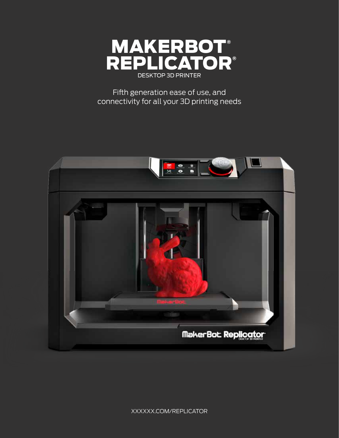

Fifth generation ease of use, and connectivity for all your 3D printing needs



xxxxxx.com/replicator